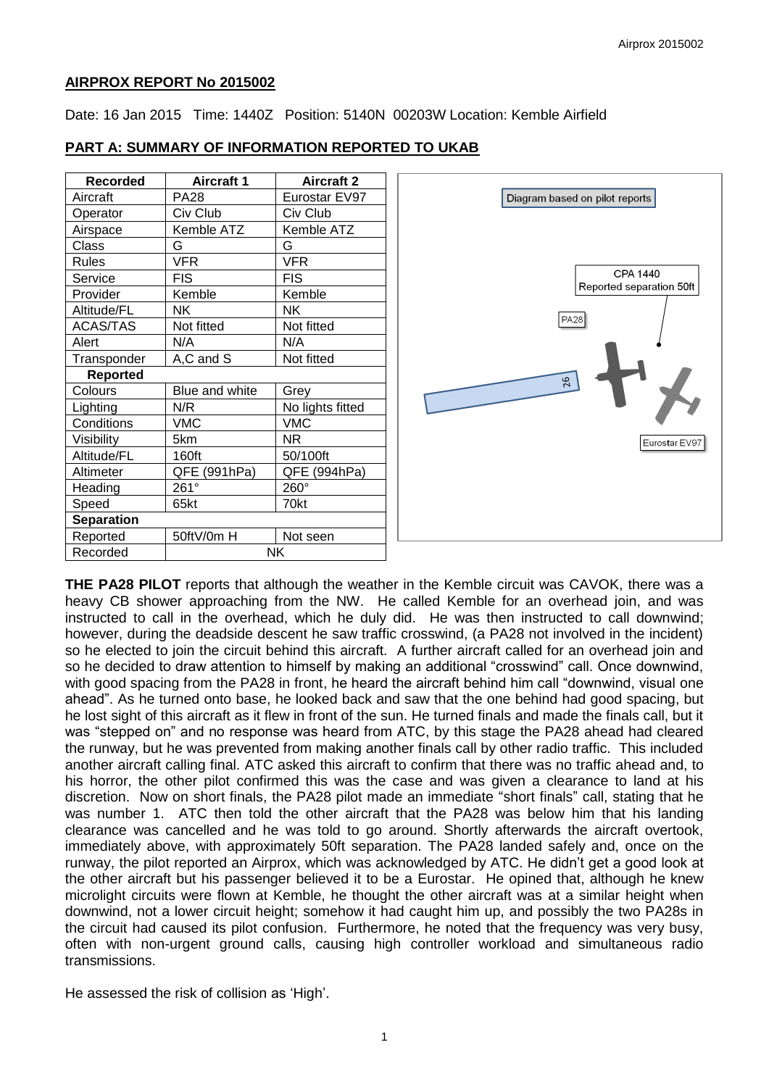### **AIRPROX REPORT No 2015002**

Date: 16 Jan 2015 Time: 1440Z Position: 5140N 00203W Location: Kemble Airfield

| <b>Recorded</b>   | <b>Aircraft 1</b> | <b>Aircraft 2</b> |
|-------------------|-------------------|-------------------|
| Aircraft          | <b>PA28</b>       | Eurostar EV97     |
| Operator          | Civ Club          | Civ Club          |
| Airspace          | Kemble ATZ        | Kemble ATZ        |
| Class             | G                 | G                 |
| <b>Rules</b>      | <b>VFR</b>        | <b>VFR</b>        |
| Service           | <b>FIS</b>        | <b>FIS</b>        |
| Provider          | Kemble            | Kemble            |
| Altitude/FL       | NΚ                | ΝK                |
| <b>ACAS/TAS</b>   | Not fitted        | Not fitted        |
| Alert             | N/A               | N/A               |
| Transponder       | A,C and S         | Not fitted        |
| <b>Reported</b>   |                   |                   |
| Colours           | Blue and white    | Grey              |
| Lighting          | N/R               | No lights fitted  |
| Conditions        | <b>VMC</b>        | <b>VMC</b>        |
| Visibility        | 5km               | ΝR                |
| Altitude/FL       | 160ft             | 50/100ft          |
| Altimeter         | QFE (991hPa)      | QFE (994hPa)      |
| Heading           | 261°              | 260°              |
| Speed             | 65kt              | 70kt              |
| <b>Separation</b> |                   |                   |
| Reported          | 50ftV/0m H        | Not seen          |
| Recorded          | NΚ                |                   |

#### **PART A: SUMMARY OF INFORMATION REPORTED TO UKAB**



**THE PA28 PILOT** reports that although the weather in the Kemble circuit was CAVOK, there was a heavy CB shower approaching from the NW. He called Kemble for an overhead join, and was instructed to call in the overhead, which he duly did. He was then instructed to call downwind; however, during the deadside descent he saw traffic crosswind, (a PA28 not involved in the incident) so he elected to join the circuit behind this aircraft. A further aircraft called for an overhead join and so he decided to draw attention to himself by making an additional "crosswind" call. Once downwind, with good spacing from the PA28 in front, he heard the aircraft behind him call "downwind, visual one ahead". As he turned onto base, he looked back and saw that the one behind had good spacing, but he lost sight of this aircraft as it flew in front of the sun. He turned finals and made the finals call, but it was "stepped on" and no response was heard from ATC, by this stage the PA28 ahead had cleared the runway, but he was prevented from making another finals call by other radio traffic. This included another aircraft calling final. ATC asked this aircraft to confirm that there was no traffic ahead and, to his horror, the other pilot confirmed this was the case and was given a clearance to land at his discretion. Now on short finals, the PA28 pilot made an immediate "short finals" call, stating that he was number 1. ATC then told the other aircraft that the PA28 was below him that his landing clearance was cancelled and he was told to go around. Shortly afterwards the aircraft overtook, immediately above, with approximately 50ft separation. The PA28 landed safely and, once on the runway, the pilot reported an Airprox, which was acknowledged by ATC. He didn't get a good look at the other aircraft but his passenger believed it to be a Eurostar. He opined that, although he knew microlight circuits were flown at Kemble, he thought the other aircraft was at a similar height when downwind, not a lower circuit height; somehow it had caught him up, and possibly the two PA28s in the circuit had caused its pilot confusion. Furthermore, he noted that the frequency was very busy, often with non-urgent ground calls, causing high controller workload and simultaneous radio transmissions.

He assessed the risk of collision as 'High'.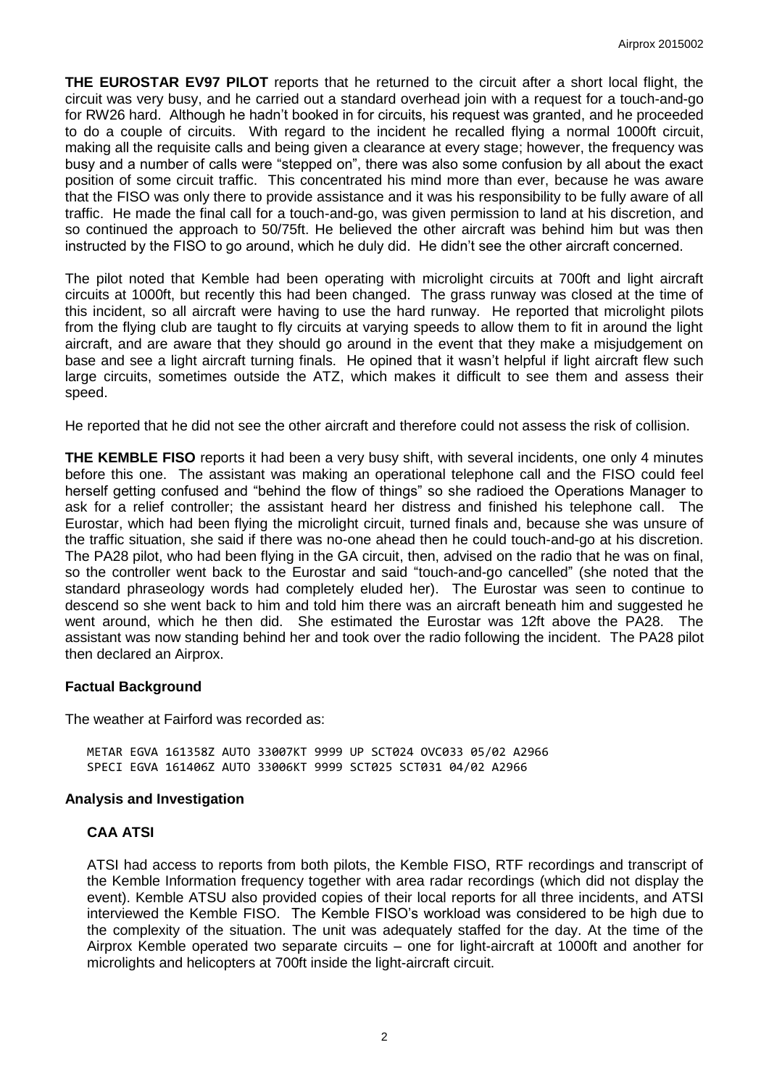**THE EUROSTAR EV97 PILOT** reports that he returned to the circuit after a short local flight, the circuit was very busy, and he carried out a standard overhead join with a request for a touch-and-go for RW26 hard. Although he hadn't booked in for circuits, his request was granted, and he proceeded to do a couple of circuits. With regard to the incident he recalled flying a normal 1000ft circuit, making all the requisite calls and being given a clearance at every stage; however, the frequency was busy and a number of calls were "stepped on", there was also some confusion by all about the exact position of some circuit traffic. This concentrated his mind more than ever, because he was aware that the FISO was only there to provide assistance and it was his responsibility to be fully aware of all traffic. He made the final call for a touch-and-go, was given permission to land at his discretion, and so continued the approach to 50/75ft. He believed the other aircraft was behind him but was then instructed by the FISO to go around, which he duly did. He didn't see the other aircraft concerned.

The pilot noted that Kemble had been operating with microlight circuits at 700ft and light aircraft circuits at 1000ft, but recently this had been changed. The grass runway was closed at the time of this incident, so all aircraft were having to use the hard runway. He reported that microlight pilots from the flying club are taught to fly circuits at varying speeds to allow them to fit in around the light aircraft, and are aware that they should go around in the event that they make a misjudgement on base and see a light aircraft turning finals. He opined that it wasn't helpful if light aircraft flew such large circuits, sometimes outside the ATZ, which makes it difficult to see them and assess their speed.

He reported that he did not see the other aircraft and therefore could not assess the risk of collision.

**THE KEMBLE FISO** reports it had been a very busy shift, with several incidents, one only 4 minutes before this one. The assistant was making an operational telephone call and the FISO could feel herself getting confused and "behind the flow of things" so she radioed the Operations Manager to ask for a relief controller; the assistant heard her distress and finished his telephone call. The Eurostar, which had been flying the microlight circuit, turned finals and, because she was unsure of the traffic situation, she said if there was no-one ahead then he could touch-and-go at his discretion. The PA28 pilot, who had been flying in the GA circuit, then, advised on the radio that he was on final, so the controller went back to the Eurostar and said "touch-and-go cancelled" (she noted that the standard phraseology words had completely eluded her). The Eurostar was seen to continue to descend so she went back to him and told him there was an aircraft beneath him and suggested he went around, which he then did. She estimated the Eurostar was 12ft above the PA28. The assistant was now standing behind her and took over the radio following the incident. The PA28 pilot then declared an Airprox.

#### **Factual Background**

The weather at Fairford was recorded as:

METAR EGVA 161358Z AUTO 33007KT 9999 UP SCT024 OVC033 05/02 A2966 SPECI EGVA 161406Z AUTO 33006KT 9999 SCT025 SCT031 04/02 A2966

#### **Analysis and Investigation**

#### **CAA ATSI**

ATSI had access to reports from both pilots, the Kemble FISO, RTF recordings and transcript of the Kemble Information frequency together with area radar recordings (which did not display the event). Kemble ATSU also provided copies of their local reports for all three incidents, and ATSI interviewed the Kemble FISO. The Kemble FISO's workload was considered to be high due to the complexity of the situation. The unit was adequately staffed for the day. At the time of the Airprox Kemble operated two separate circuits – one for light-aircraft at 1000ft and another for microlights and helicopters at 700ft inside the light-aircraft circuit.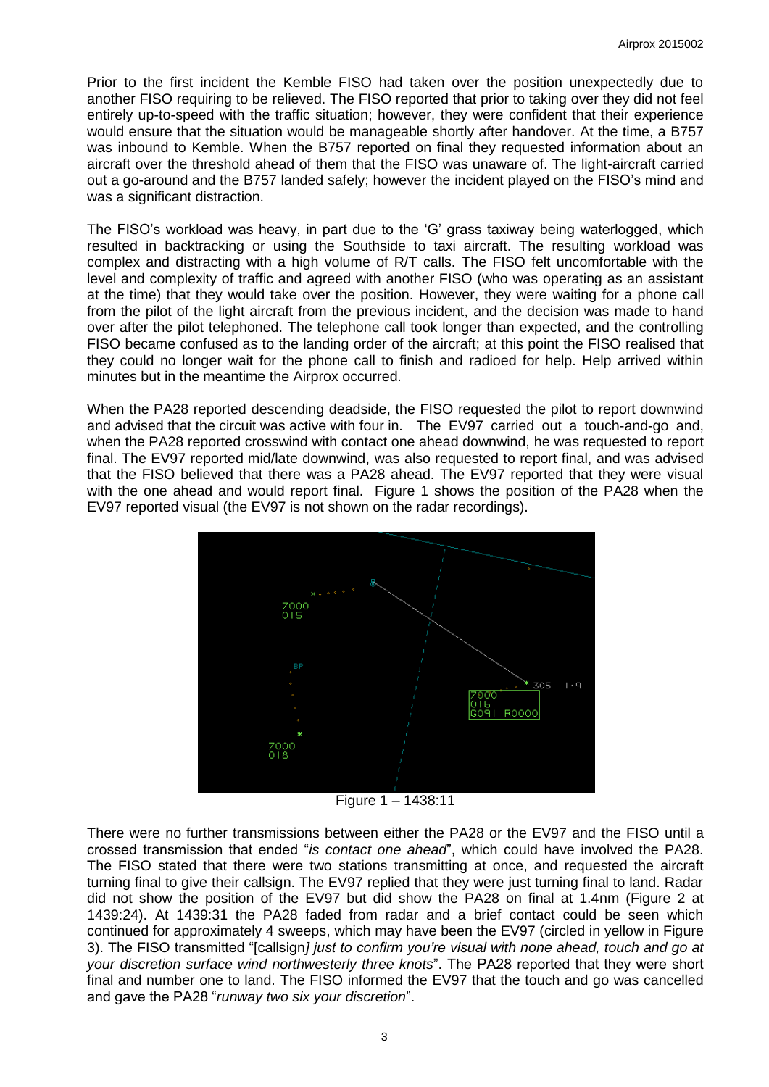Prior to the first incident the Kemble FISO had taken over the position unexpectedly due to another FISO requiring to be relieved. The FISO reported that prior to taking over they did not feel entirely up-to-speed with the traffic situation; however, they were confident that their experience would ensure that the situation would be manageable shortly after handover. At the time, a B757 was inbound to Kemble. When the B757 reported on final they requested information about an aircraft over the threshold ahead of them that the FISO was unaware of. The light-aircraft carried out a go-around and the B757 landed safely; however the incident played on the FISO's mind and was a significant distraction.

The FISO's workload was heavy, in part due to the 'G' grass taxiway being waterlogged, which resulted in backtracking or using the Southside to taxi aircraft. The resulting workload was complex and distracting with a high volume of R/T calls. The FISO felt uncomfortable with the level and complexity of traffic and agreed with another FISO (who was operating as an assistant at the time) that they would take over the position. However, they were waiting for a phone call from the pilot of the light aircraft from the previous incident, and the decision was made to hand over after the pilot telephoned. The telephone call took longer than expected, and the controlling FISO became confused as to the landing order of the aircraft; at this point the FISO realised that they could no longer wait for the phone call to finish and radioed for help. Help arrived within minutes but in the meantime the Airprox occurred.

When the PA28 reported descending deadside, the FISO requested the pilot to report downwind and advised that the circuit was active with four in. The EV97 carried out a touch-and-go and, when the PA28 reported crosswind with contact one ahead downwind, he was requested to report final. The EV97 reported mid/late downwind, was also requested to report final, and was advised that the FISO believed that there was a PA28 ahead. The EV97 reported that they were visual with the one ahead and would report final. Figure 1 shows the position of the PA28 when the EV97 reported visual (the EV97 is not shown on the radar recordings).



Figure 1 – 1438:11

There were no further transmissions between either the PA28 or the EV97 and the FISO until a crossed transmission that ended "*is contact one ahead*", which could have involved the PA28. The FISO stated that there were two stations transmitting at once, and requested the aircraft turning final to give their callsign. The EV97 replied that they were just turning final to land. Radar did not show the position of the EV97 but did show the PA28 on final at 1.4nm (Figure 2 at 1439:24). At 1439:31 the PA28 faded from radar and a brief contact could be seen which continued for approximately 4 sweeps, which may have been the EV97 (circled in yellow in Figure 3). The FISO transmitted "[callsign*] just to confirm you're visual with none ahead, touch and go at your discretion surface wind northwesterly three knots*". The PA28 reported that they were short final and number one to land. The FISO informed the EV97 that the touch and go was cancelled and gave the PA28 "*runway two six your discretion*".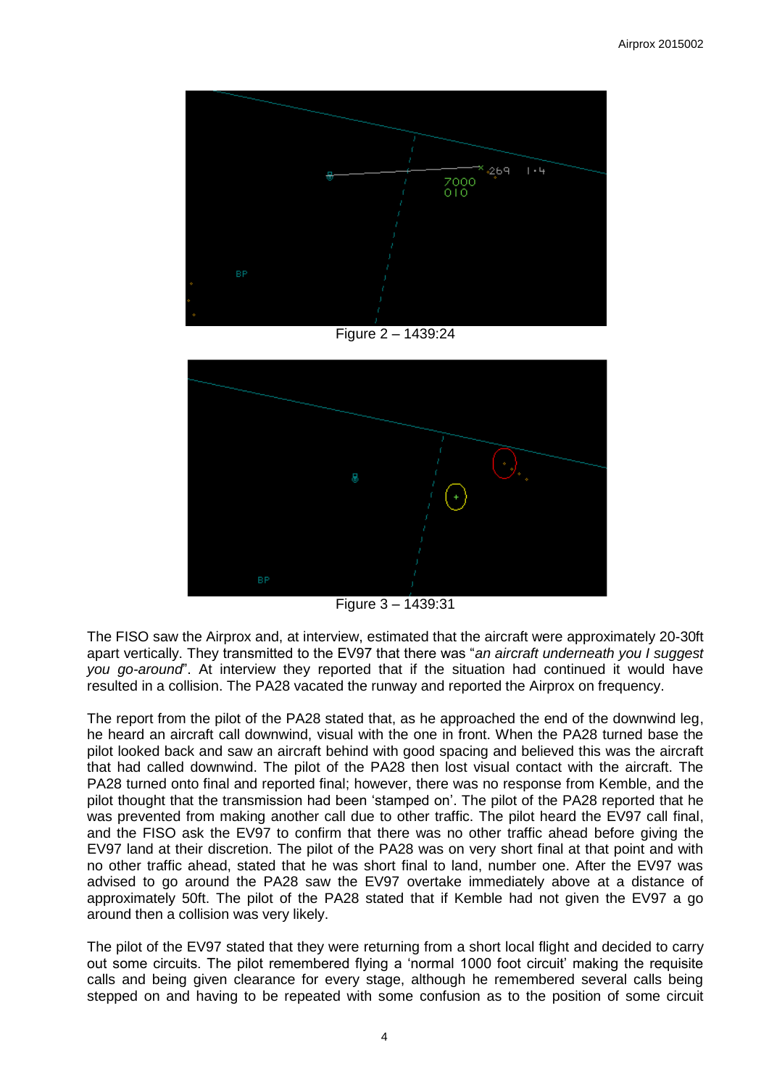

Figure 2 – 1439:24



Figure 3 – 1439:31

The FISO saw the Airprox and, at interview, estimated that the aircraft were approximately 20-30ft apart vertically. They transmitted to the EV97 that there was "*an aircraft underneath you I suggest you go-around*". At interview they reported that if the situation had continued it would have resulted in a collision. The PA28 vacated the runway and reported the Airprox on frequency.

The report from the pilot of the PA28 stated that, as he approached the end of the downwind leg, he heard an aircraft call downwind, visual with the one in front. When the PA28 turned base the pilot looked back and saw an aircraft behind with good spacing and believed this was the aircraft that had called downwind. The pilot of the PA28 then lost visual contact with the aircraft. The PA28 turned onto final and reported final; however, there was no response from Kemble, and the pilot thought that the transmission had been 'stamped on'. The pilot of the PA28 reported that he was prevented from making another call due to other traffic. The pilot heard the EV97 call final, and the FISO ask the EV97 to confirm that there was no other traffic ahead before giving the EV97 land at their discretion. The pilot of the PA28 was on very short final at that point and with no other traffic ahead, stated that he was short final to land, number one. After the EV97 was advised to go around the PA28 saw the EV97 overtake immediately above at a distance of approximately 50ft. The pilot of the PA28 stated that if Kemble had not given the EV97 a go around then a collision was very likely.

The pilot of the EV97 stated that they were returning from a short local flight and decided to carry out some circuits. The pilot remembered flying a 'normal 1000 foot circuit' making the requisite calls and being given clearance for every stage, although he remembered several calls being stepped on and having to be repeated with some confusion as to the position of some circuit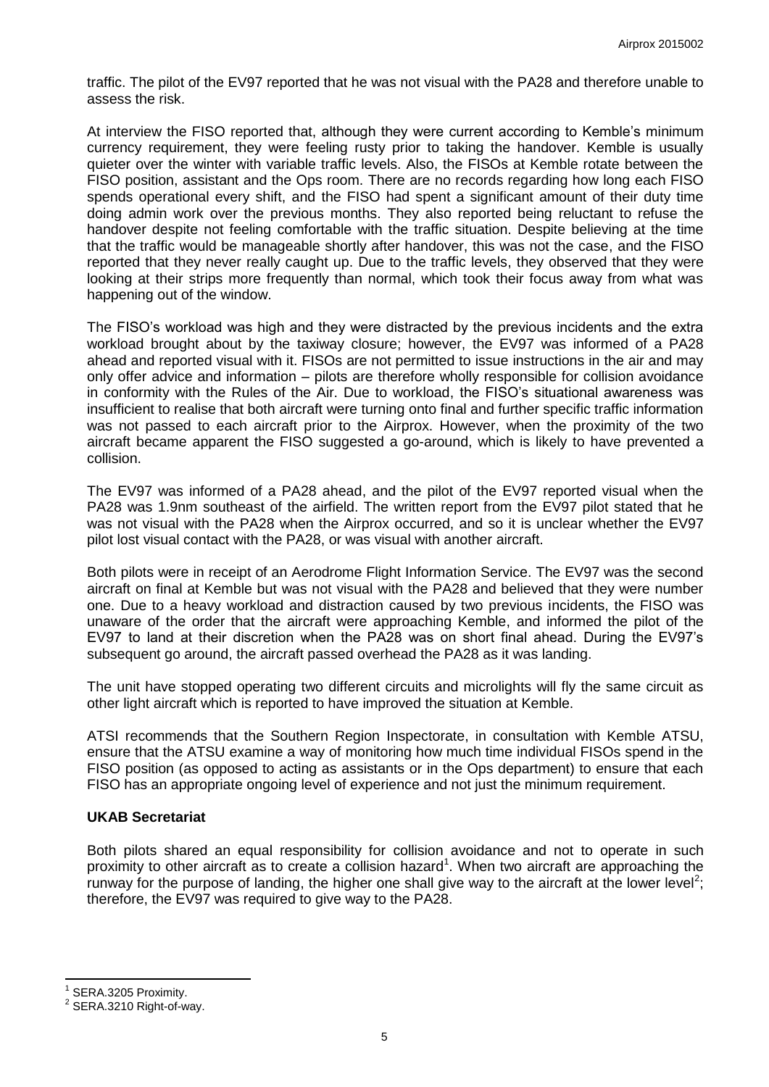traffic. The pilot of the EV97 reported that he was not visual with the PA28 and therefore unable to assess the risk.

At interview the FISO reported that, although they were current according to Kemble's minimum currency requirement, they were feeling rusty prior to taking the handover. Kemble is usually quieter over the winter with variable traffic levels. Also, the FISOs at Kemble rotate between the FISO position, assistant and the Ops room. There are no records regarding how long each FISO spends operational every shift, and the FISO had spent a significant amount of their duty time doing admin work over the previous months. They also reported being reluctant to refuse the handover despite not feeling comfortable with the traffic situation. Despite believing at the time that the traffic would be manageable shortly after handover, this was not the case, and the FISO reported that they never really caught up. Due to the traffic levels, they observed that they were looking at their strips more frequently than normal, which took their focus away from what was happening out of the window.

The FISO's workload was high and they were distracted by the previous incidents and the extra workload brought about by the taxiway closure; however, the EV97 was informed of a PA28 ahead and reported visual with it. FISOs are not permitted to issue instructions in the air and may only offer advice and information – pilots are therefore wholly responsible for collision avoidance in conformity with the Rules of the Air. Due to workload, the FISO's situational awareness was insufficient to realise that both aircraft were turning onto final and further specific traffic information was not passed to each aircraft prior to the Airprox. However, when the proximity of the two aircraft became apparent the FISO suggested a go-around, which is likely to have prevented a collision.

The EV97 was informed of a PA28 ahead, and the pilot of the EV97 reported visual when the PA28 was 1.9nm southeast of the airfield. The written report from the EV97 pilot stated that he was not visual with the PA28 when the Airprox occurred, and so it is unclear whether the EV97 pilot lost visual contact with the PA28, or was visual with another aircraft.

Both pilots were in receipt of an Aerodrome Flight Information Service. The EV97 was the second aircraft on final at Kemble but was not visual with the PA28 and believed that they were number one. Due to a heavy workload and distraction caused by two previous incidents, the FISO was unaware of the order that the aircraft were approaching Kemble, and informed the pilot of the EV97 to land at their discretion when the PA28 was on short final ahead. During the EV97's subsequent go around, the aircraft passed overhead the PA28 as it was landing.

The unit have stopped operating two different circuits and microlights will fly the same circuit as other light aircraft which is reported to have improved the situation at Kemble.

ATSI recommends that the Southern Region Inspectorate, in consultation with Kemble ATSU, ensure that the ATSU examine a way of monitoring how much time individual FISOs spend in the FISO position (as opposed to acting as assistants or in the Ops department) to ensure that each FISO has an appropriate ongoing level of experience and not just the minimum requirement.

### **UKAB Secretariat**

Both pilots shared an equal responsibility for collision avoidance and not to operate in such proximity to other aircraft as to create a collision hazard<sup>1</sup>. When two aircraft are approaching the runway for the purpose of landing, the higher one shall give way to the aircraft at the lower level<sup>2</sup>; therefore, the EV97 was required to give way to the PA28.

 $\overline{\phantom{a}}$ 

<sup>1</sup> SERA.3205 Proximity.

<sup>2</sup> SERA.3210 Right-of-way.